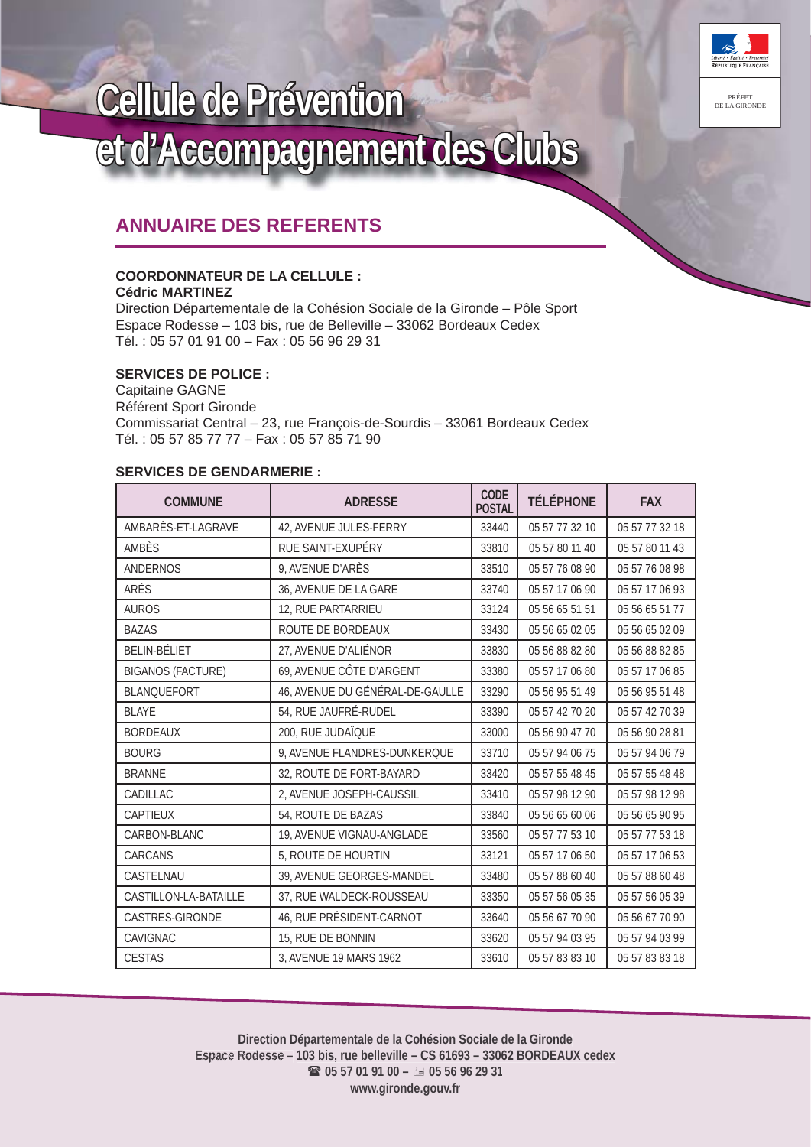

# **Cellule de Prévention** et d'Accompagnement des Clubs

# **ANNUAIRE DES REFERENTS**

#### **COORDONNATEUR DE LA CELLULE : Cédric MARTINEZ**

Direction Départementale de la Cohésion Sociale de la Gironde – Pôle Sport Espace Rodesse – 103 bis, rue de Belleville – 33062 Bordeaux Cedex Tél. : 05 57 01 91 00 – Fax : 05 56 96 29 31

## **SERVICES DE POLICE :**

Capitaine GAGNE Référent Sport Gironde Commissariat Central – 23, rue François-de-Sourdis – 33061 Bordeaux Cedex Tél. : 05 57 85 77 77 – Fax : 05 57 85 71 90

## **SERVICES DE GENDARMERIE :**

| <b>COMMUNE</b>           | <b>ADRESSE</b>                  | CODE<br><b>POSTAL</b> | <b>TÉLÉPHONE</b> | <b>FAX</b>     |
|--------------------------|---------------------------------|-----------------------|------------------|----------------|
| AMBARÈS-ET-LAGRAVE       | 42, AVENUE JULES-FERRY          | 33440                 | 05 57 77 32 10   | 05 57 77 32 18 |
| AMBÈS                    | RUE SAINT-EXUPÉRY               | 33810                 | 05 57 80 11 40   | 05 57 80 11 43 |
| <b>ANDERNOS</b>          | 9, AVENUE D'ARÈS                | 33510                 | 05 57 76 08 90   | 05 57 76 08 98 |
| ARÈS                     | 36, AVENUE DE LA GARE           | 33740                 | 05 57 17 06 90   | 05 57 17 06 93 |
| <b>AUROS</b>             | 12, RUE PARTARRIEU              | 33124                 | 05 56 65 51 51   | 05 56 65 51 77 |
| <b>BAZAS</b>             | ROUTE DE BORDEAUX               | 33430                 | 05 56 65 02 05   | 05 56 65 02 09 |
| <b>BELIN-BÉLIET</b>      | 27, AVENUE D'ALIÉNOR            | 33830                 | 05 56 88 82 80   | 05 56 88 82 85 |
| <b>BIGANOS (FACTURE)</b> | 69, AVENUE CÔTE D'ARGENT        | 33380                 | 05 57 17 06 80   | 05 57 17 06 85 |
| <b>BLANQUEFORT</b>       | 46, AVENUE DU GÉNÉRAL-DE-GAULLE | 33290                 | 05 56 95 51 49   | 05 56 95 51 48 |
| <b>BLAYE</b>             | 54, RUE JAUFRÉ-RUDEL            | 33390                 | 05 57 42 70 20   | 05 57 42 70 39 |
| <b>BORDEAUX</b>          | 200, RUE JUDAÏQUE               | 33000                 | 05 56 90 47 70   | 05 56 90 28 81 |
| <b>BOURG</b>             | 9, AVENUE FLANDRES-DUNKERQUE    | 33710                 | 05 57 94 06 75   | 05 57 94 06 79 |
| <b>BRANNE</b>            | 32, ROUTE DE FORT-BAYARD        | 33420                 | 05 57 55 48 45   | 05 57 55 48 48 |
| CADILLAC                 | 2, AVENUE JOSEPH-CAUSSIL        | 33410                 | 05 57 98 12 90   | 05 57 98 12 98 |
| CAPTIEUX                 | 54, ROUTE DE BAZAS              | 33840                 | 05 56 65 60 06   | 05 56 65 90 95 |
| CARBON-BLANC             | 19, AVENUE VIGNAU-ANGLADE       | 33560                 | 05 57 77 53 10   | 05 57 77 53 18 |
| CARCANS                  | 5, ROUTE DE HOURTIN             | 33121                 | 05 57 17 06 50   | 05 57 17 06 53 |
| CASTELNAU                | 39, AVENUE GEORGES-MANDEL       | 33480                 | 05 57 88 60 40   | 05 57 88 60 48 |
| CASTILLON-LA-BATAILLE    | 37, RUE WALDECK-ROUSSEAU        | 33350                 | 05 57 56 05 35   | 05 57 56 05 39 |
| CASTRES-GIRONDE          | 46, RUE PRÉSIDENT-CARNOT        | 33640                 | 05 56 67 70 90   | 05 56 67 70 90 |
| CAVIGNAC                 | 15, RUE DE BONNIN               | 33620                 | 05 57 94 03 95   | 05 57 94 03 99 |
| <b>CESTAS</b>            | 3, AVENUE 19 MARS 1962          | 33610                 | 05 57 83 83 10   | 05 57 83 83 18 |